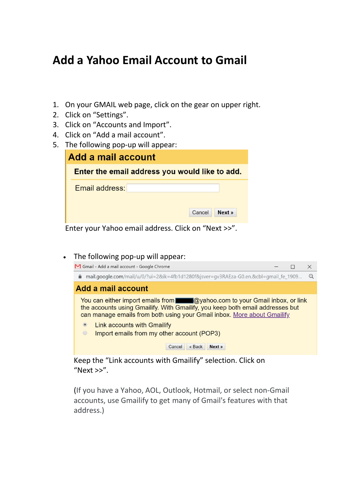## **Add a Yahoo Email Account to Gmail**

- 1. On your GMAIL web page, click on the gear on upper right.
- 2. Click on "Settings".
- 3. Click on "Accounts and Import".
- 4. Click on "Add a mail account".
- 5. The following pop-up will appear:

| Enter the email address you would like to add.<br>Email address: | Add a mail account |  |
|------------------------------------------------------------------|--------------------|--|
|                                                                  |                    |  |
| Next »<br>Cancel                                                 |                    |  |

Enter your Yahoo email address. Click on "Next >>".

The following pop-up will appear:



Keep the "Link accounts with Gmailify" selection. Click on " $Next \gg$ ".

(If you have a Yahoo, AOL, Outlook, Hotmail, or select non-Gmail accounts, use Gmailify to get many of Gmail's features with that address.)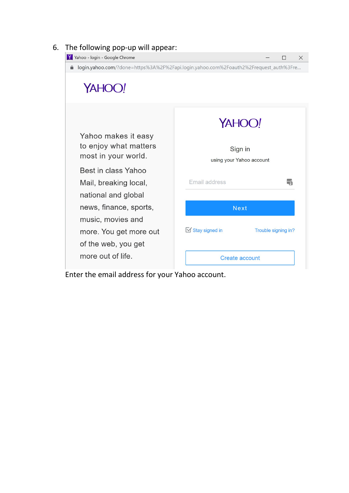

Enter the email address for your Yahoo account.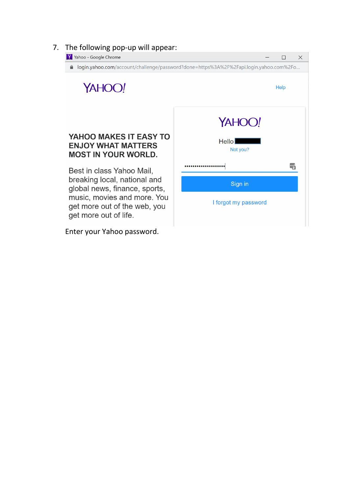## 7. The following pop-up will appear:



Enter your Yahoo password.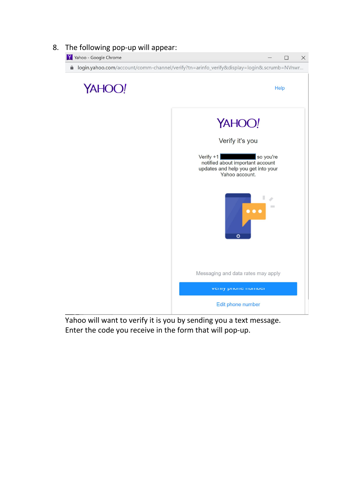

Yahoo will want to verify it is you by sending you a text message. Enter the code you receive in the form that will pop-up.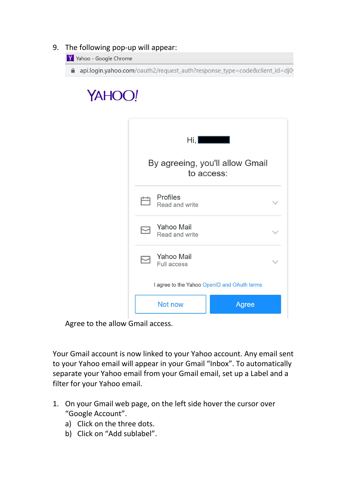## 9. The following pop-up will appear:

Y Yahoo - Google Chrome

api.login.yahoo.com/oauth2/request\_auth?response\_type=code&client\_id=dj0

## YAHOO!

|   | Hi, <b>_____</b> _                            |  |
|---|-----------------------------------------------|--|
|   | By agreeing, you'll allow Gmail<br>to access: |  |
| 广 | Profiles<br>Read and write                    |  |
|   | <b>Yahoo Mail</b><br>Read and write           |  |
|   | <b>Yahoo Mail</b><br><b>Full access</b>       |  |
|   | I agree to the Yahoo OpenID and OAuth terms   |  |
|   | Not now<br>Agree                              |  |

Agree to the allow Gmail access.

Your Gmail account is now linked to your Yahoo account. Any email sent to your Yahoo email will appear in your Gmail "Inbox". To automatically separate your Yahoo email from your Gmail email, setup a Label and a filter for your Yahoo email.

- 1. On your Gmail web page, on the left side hover the cursor over "Google Account".
	- a) Click on the three dots.<br>b) Click on "Add sublabel".
	-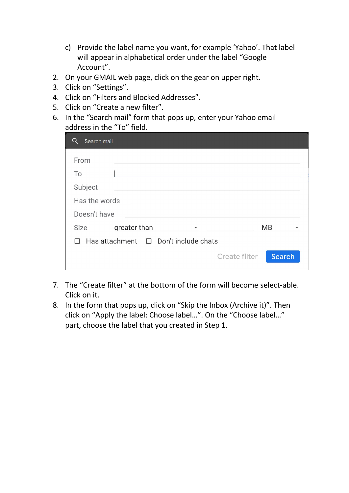- c) Provide the label name you want, for example 'Yahoo'. That label will appear in alphabetical order under the label "Google Account".
- 2. On your GMAIL web page, click on the gear on upper right.
- 3. Click on "Settings".
- 4. Click on "Filters and Blocked Addresses".
- 5. Click on "Create a new filter".
- 6. In the "Search mail" form that pops up, enter your Yahoo email address in the "To" field.

| Search mail                                      |              |                         |                                |  |  |
|--------------------------------------------------|--------------|-------------------------|--------------------------------|--|--|
| From                                             |              |                         |                                |  |  |
| To                                               |              |                         |                                |  |  |
| Subject                                          |              |                         |                                |  |  |
| Has the words                                    |              |                         |                                |  |  |
| Doesn't have                                     |              |                         |                                |  |  |
| Size                                             | greater than | $\overline{\mathbf{v}}$ | <b>MB</b>                      |  |  |
| $\Box$ Has attachment $\Box$ Don't include chats |              |                         |                                |  |  |
|                                                  |              |                         | <b>Search</b><br>Create filter |  |  |

- 7. The "Create filter" at the bottom of the form will become select-able. Click on it.
- 8. In the form that pops up, click on "Skip the Inbox (Archive it)". Then click on "Apply the label: Choose label…". On the "Choose label…" part, choose the label that you created in Step 1.